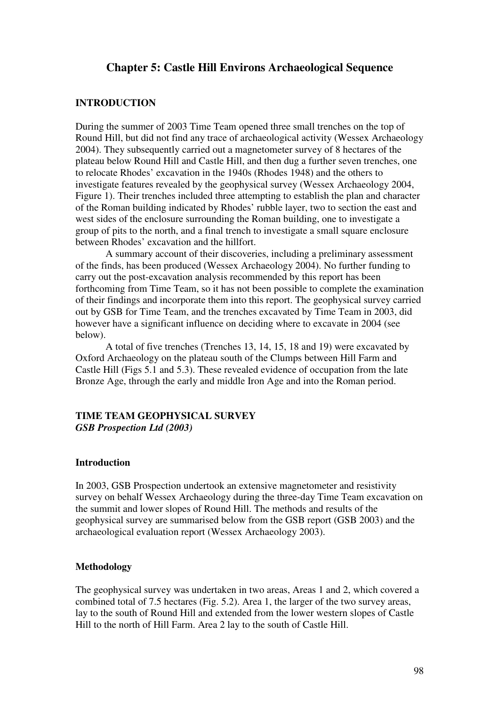# **Chapter 5: Castle Hill Environs Archaeological Sequence**

## **INTRODUCTION**

During the summer of 2003 Time Team opened three small trenches on the top of Round Hill, but did not find any trace of archaeological activity (Wessex Archaeology 2004). They subsequently carried out a magnetometer survey of 8 hectares of the plateau below Round Hill and Castle Hill, and then dug a further seven trenches, one to relocate Rhodes' excavation in the 1940s (Rhodes 1948) and the others to investigate features revealed by the geophysical survey (Wessex Archaeology 2004, Figure 1). Their trenches included three attempting to establish the plan and character of the Roman building indicated by Rhodes' rubble layer, two to section the east and west sides of the enclosure surrounding the Roman building, one to investigate a group of pits to the north, and a final trench to investigate a small square enclosure between Rhodes' excavation and the hillfort.

A summary account of their discoveries, including a preliminary assessment of the finds, has been produced (Wessex Archaeology 2004). No further funding to carry out the post-excavation analysis recommended by this report has been forthcoming from Time Team, so it has not been possible to complete the examination of their findings and incorporate them into this report. The geophysical survey carried out by GSB for Time Team, and the trenches excavated by Time Team in 2003, did however have a significant influence on deciding where to excavate in 2004 (see below).

A total of five trenches (Trenches 13, 14, 15, 18 and 19) were excavated by Oxford Archaeology on the plateau south of the Clumps between Hill Farm and Castle Hill (Figs 5.1 and 5.3). These revealed evidence of occupation from the late Bronze Age, through the early and middle Iron Age and into the Roman period.

# **TIME TEAM GEOPHYSICAL SURVEY**  *GSB Prospection Ltd (2003)*

#### **Introduction**

In 2003, GSB Prospection undertook an extensive magnetometer and resistivity survey on behalf Wessex Archaeology during the three-day Time Team excavation on the summit and lower slopes of Round Hill. The methods and results of the geophysical survey are summarised below from the GSB report (GSB 2003) and the archaeological evaluation report (Wessex Archaeology 2003).

# **Methodology**

The geophysical survey was undertaken in two areas, Areas 1 and 2, which covered a combined total of 7.5 hectares (Fig. 5.2). Area 1, the larger of the two survey areas, lay to the south of Round Hill and extended from the lower western slopes of Castle Hill to the north of Hill Farm. Area 2 lay to the south of Castle Hill.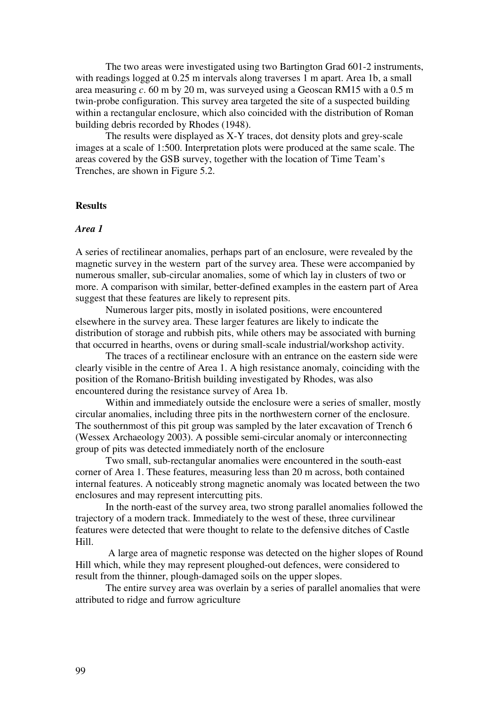The two areas were investigated using two Bartington Grad 601-2 instruments, with readings logged at 0.25 m intervals along traverses 1 m apart. Area 1b, a small area measuring *c*. 60 m by 20 m, was surveyed using a Geoscan RM15 with a 0.5 m twin-probe configuration. This survey area targeted the site of a suspected building within a rectangular enclosure, which also coincided with the distribution of Roman building debris recorded by Rhodes (1948).

The results were displayed as X-Y traces, dot density plots and grey-scale images at a scale of 1:500. Interpretation plots were produced at the same scale. The areas covered by the GSB survey, together with the location of Time Team's Trenches, are shown in Figure 5.2.

#### **Results**

## *Area 1*

A series of rectilinear anomalies, perhaps part of an enclosure, were revealed by the magnetic survey in the western part of the survey area. These were accompanied by numerous smaller, sub-circular anomalies, some of which lay in clusters of two or more. A comparison with similar, better-defined examples in the eastern part of Area suggest that these features are likely to represent pits.

Numerous larger pits, mostly in isolated positions, were encountered elsewhere in the survey area. These larger features are likely to indicate the distribution of storage and rubbish pits, while others may be associated with burning that occurred in hearths, ovens or during small-scale industrial/workshop activity.

 The traces of a rectilinear enclosure with an entrance on the eastern side were clearly visible in the centre of Area 1. A high resistance anomaly, coinciding with the position of the Romano-British building investigated by Rhodes, was also encountered during the resistance survey of Area 1b.

 Within and immediately outside the enclosure were a series of smaller, mostly circular anomalies, including three pits in the northwestern corner of the enclosure. The southernmost of this pit group was sampled by the later excavation of Trench 6 (Wessex Archaeology 2003). A possible semi-circular anomaly or interconnecting group of pits was detected immediately north of the enclosure

 Two small, sub-rectangular anomalies were encountered in the south-east corner of Area 1. These features, measuring less than 20 m across, both contained internal features. A noticeably strong magnetic anomaly was located between the two enclosures and may represent intercutting pits.

 In the north-east of the survey area, two strong parallel anomalies followed the trajectory of a modern track. Immediately to the west of these, three curvilinear features were detected that were thought to relate to the defensive ditches of Castle Hill.

 A large area of magnetic response was detected on the higher slopes of Round Hill which, while they may represent ploughed-out defences, were considered to result from the thinner, plough-damaged soils on the upper slopes.

 The entire survey area was overlain by a series of parallel anomalies that were attributed to ridge and furrow agriculture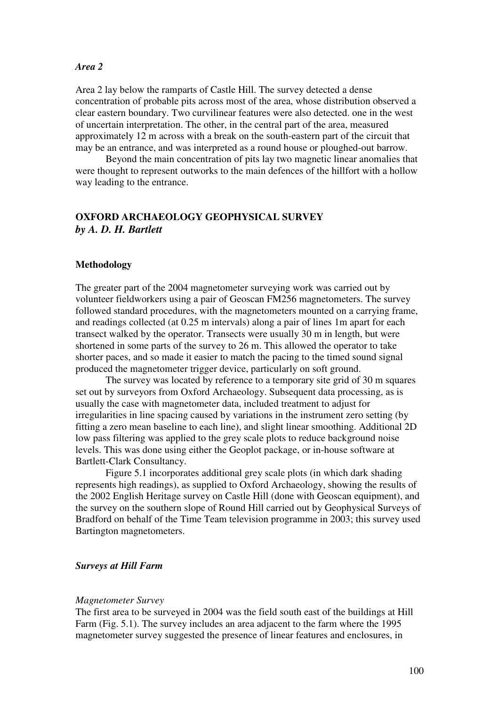## *Area 2*

Area 2 lay below the ramparts of Castle Hill. The survey detected a dense concentration of probable pits across most of the area, whose distribution observed a clear eastern boundary. Two curvilinear features were also detected. one in the west of uncertain interpretation. The other, in the central part of the area, measured approximately 12 m across with a break on the south-eastern part of the circuit that may be an entrance, and was interpreted as a round house or ploughed-out barrow.

 Beyond the main concentration of pits lay two magnetic linear anomalies that were thought to represent outworks to the main defences of the hillfort with a hollow way leading to the entrance.

# **OXFORD ARCHAEOLOGY GEOPHYSICAL SURVEY**  *by A. D. H. Bartlett*

## **Methodology**

The greater part of the 2004 magnetometer surveying work was carried out by volunteer fieldworkers using a pair of Geoscan FM256 magnetometers. The survey followed standard procedures, with the magnetometers mounted on a carrying frame, and readings collected (at 0.25 m intervals) along a pair of lines 1m apart for each transect walked by the operator. Transects were usually 30 m in length, but were shortened in some parts of the survey to 26 m. This allowed the operator to take shorter paces, and so made it easier to match the pacing to the timed sound signal produced the magnetometer trigger device, particularly on soft ground.

The survey was located by reference to a temporary site grid of 30 m squares set out by surveyors from Oxford Archaeology. Subsequent data processing, as is usually the case with magnetometer data, included treatment to adjust for irregularities in line spacing caused by variations in the instrument zero setting (by fitting a zero mean baseline to each line), and slight linear smoothing. Additional 2D low pass filtering was applied to the grey scale plots to reduce background noise levels. This was done using either the Geoplot package, or in-house software at Bartlett-Clark Consultancy.

Figure 5.1 incorporates additional grey scale plots (in which dark shading represents high readings), as supplied to Oxford Archaeology, showing the results of the 2002 English Heritage survey on Castle Hill (done with Geoscan equipment), and the survey on the southern slope of Round Hill carried out by Geophysical Surveys of Bradford on behalf of the Time Team television programme in 2003; this survey used Bartington magnetometers.

## *Surveys at Hill Farm*

#### *Magnetometer Survey*

The first area to be surveyed in 2004 was the field south east of the buildings at Hill Farm (Fig. 5.1). The survey includes an area adjacent to the farm where the 1995 magnetometer survey suggested the presence of linear features and enclosures, in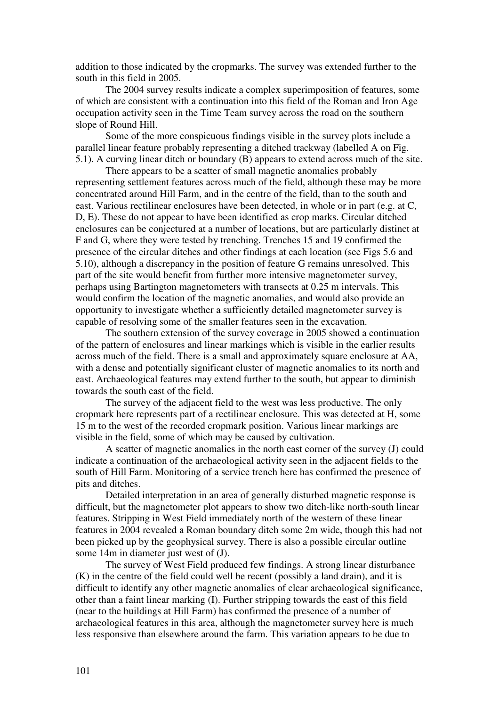addition to those indicated by the cropmarks. The survey was extended further to the south in this field in 2005.

The 2004 survey results indicate a complex superimposition of features, some of which are consistent with a continuation into this field of the Roman and Iron Age occupation activity seen in the Time Team survey across the road on the southern slope of Round Hill.

Some of the more conspicuous findings visible in the survey plots include a parallel linear feature probably representing a ditched trackway (labelled A on Fig. 5.1). A curving linear ditch or boundary (B) appears to extend across much of the site.

There appears to be a scatter of small magnetic anomalies probably representing settlement features across much of the field, although these may be more concentrated around Hill Farm, and in the centre of the field, than to the south and east. Various rectilinear enclosures have been detected, in whole or in part (e.g. at C, D, E). These do not appear to have been identified as crop marks. Circular ditched enclosures can be conjectured at a number of locations, but are particularly distinct at F and G, where they were tested by trenching. Trenches 15 and 19 confirmed the presence of the circular ditches and other findings at each location (see Figs 5.6 and 5.10), although a discrepancy in the position of feature G remains unresolved. This part of the site would benefit from further more intensive magnetometer survey, perhaps using Bartington magnetometers with transects at 0.25 m intervals. This would confirm the location of the magnetic anomalies, and would also provide an opportunity to investigate whether a sufficiently detailed magnetometer survey is capable of resolving some of the smaller features seen in the excavation.

The southern extension of the survey coverage in 2005 showed a continuation of the pattern of enclosures and linear markings which is visible in the earlier results across much of the field. There is a small and approximately square enclosure at AA, with a dense and potentially significant cluster of magnetic anomalies to its north and east. Archaeological features may extend further to the south, but appear to diminish towards the south east of the field.

The survey of the adjacent field to the west was less productive. The only cropmark here represents part of a rectilinear enclosure. This was detected at H, some 15 m to the west of the recorded cropmark position. Various linear markings are visible in the field, some of which may be caused by cultivation.

A scatter of magnetic anomalies in the north east corner of the survey (J) could indicate a continuation of the archaeological activity seen in the adjacent fields to the south of Hill Farm. Monitoring of a service trench here has confirmed the presence of pits and ditches.

Detailed interpretation in an area of generally disturbed magnetic response is difficult, but the magnetometer plot appears to show two ditch-like north-south linear features. Stripping in West Field immediately north of the western of these linear features in 2004 revealed a Roman boundary ditch some 2m wide, though this had not been picked up by the geophysical survey. There is also a possible circular outline some 14m in diameter just west of (J).

The survey of West Field produced few findings. A strong linear disturbance (K) in the centre of the field could well be recent (possibly a land drain), and it is difficult to identify any other magnetic anomalies of clear archaeological significance, other than a faint linear marking (I). Further stripping towards the east of this field (near to the buildings at Hill Farm) has confirmed the presence of a number of archaeological features in this area, although the magnetometer survey here is much less responsive than elsewhere around the farm. This variation appears to be due to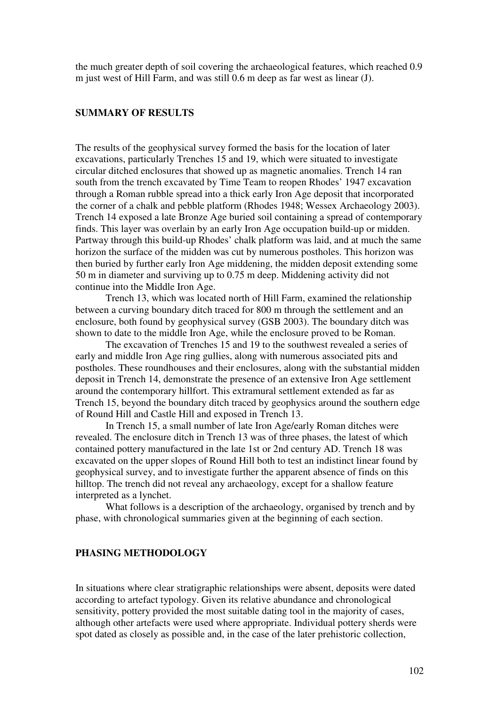the much greater depth of soil covering the archaeological features, which reached 0.9 m just west of Hill Farm, and was still 0.6 m deep as far west as linear (J).

## **SUMMARY OF RESULTS**

The results of the geophysical survey formed the basis for the location of later excavations, particularly Trenches 15 and 19, which were situated to investigate circular ditched enclosures that showed up as magnetic anomalies. Trench 14 ran south from the trench excavated by Time Team to reopen Rhodes' 1947 excavation through a Roman rubble spread into a thick early Iron Age deposit that incorporated the corner of a chalk and pebble platform (Rhodes 1948; Wessex Archaeology 2003). Trench 14 exposed a late Bronze Age buried soil containing a spread of contemporary finds. This layer was overlain by an early Iron Age occupation build-up or midden. Partway through this build-up Rhodes' chalk platform was laid, and at much the same horizon the surface of the midden was cut by numerous postholes. This horizon was then buried by further early Iron Age middening, the midden deposit extending some 50 m in diameter and surviving up to 0.75 m deep. Middening activity did not continue into the Middle Iron Age.

Trench 13, which was located north of Hill Farm, examined the relationship between a curving boundary ditch traced for 800 m through the settlement and an enclosure, both found by geophysical survey (GSB 2003). The boundary ditch was shown to date to the middle Iron Age, while the enclosure proved to be Roman.

The excavation of Trenches 15 and 19 to the southwest revealed a series of early and middle Iron Age ring gullies, along with numerous associated pits and postholes. These roundhouses and their enclosures, along with the substantial midden deposit in Trench 14, demonstrate the presence of an extensive Iron Age settlement around the contemporary hillfort. This extramural settlement extended as far as Trench 15, beyond the boundary ditch traced by geophysics around the southern edge of Round Hill and Castle Hill and exposed in Trench 13.

In Trench 15, a small number of late Iron Age/early Roman ditches were revealed. The enclosure ditch in Trench 13 was of three phases, the latest of which contained pottery manufactured in the late 1st or 2nd century AD. Trench 18 was excavated on the upper slopes of Round Hill both to test an indistinct linear found by geophysical survey, and to investigate further the apparent absence of finds on this hilltop. The trench did not reveal any archaeology, except for a shallow feature interpreted as a lynchet.

What follows is a description of the archaeology, organised by trench and by phase, with chronological summaries given at the beginning of each section.

## **PHASING METHODOLOGY**

In situations where clear stratigraphic relationships were absent, deposits were dated according to artefact typology. Given its relative abundance and chronological sensitivity, pottery provided the most suitable dating tool in the majority of cases, although other artefacts were used where appropriate. Individual pottery sherds were spot dated as closely as possible and, in the case of the later prehistoric collection,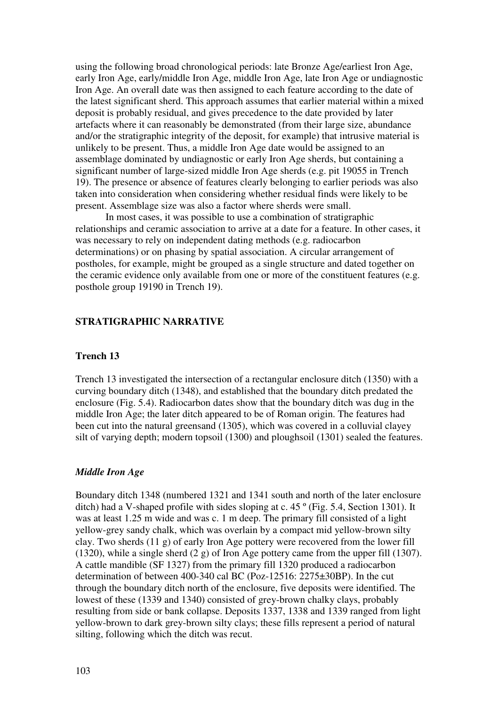using the following broad chronological periods: late Bronze Age/earliest Iron Age, early Iron Age, early/middle Iron Age, middle Iron Age, late Iron Age or undiagnostic Iron Age. An overall date was then assigned to each feature according to the date of the latest significant sherd. This approach assumes that earlier material within a mixed deposit is probably residual, and gives precedence to the date provided by later artefacts where it can reasonably be demonstrated (from their large size, abundance and/or the stratigraphic integrity of the deposit, for example) that intrusive material is unlikely to be present. Thus, a middle Iron Age date would be assigned to an assemblage dominated by undiagnostic or early Iron Age sherds, but containing a significant number of large-sized middle Iron Age sherds (e.g. pit 19055 in Trench 19). The presence or absence of features clearly belonging to earlier periods was also taken into consideration when considering whether residual finds were likely to be present. Assemblage size was also a factor where sherds were small.

In most cases, it was possible to use a combination of stratigraphic relationships and ceramic association to arrive at a date for a feature. In other cases, it was necessary to rely on independent dating methods (e.g. radiocarbon determinations) or on phasing by spatial association. A circular arrangement of postholes, for example, might be grouped as a single structure and dated together on the ceramic evidence only available from one or more of the constituent features (e.g. posthole group 19190 in Trench 19).

# **STRATIGRAPHIC NARRATIVE**

# **Trench 13**

Trench 13 investigated the intersection of a rectangular enclosure ditch (1350) with a curving boundary ditch (1348), and established that the boundary ditch predated the enclosure (Fig. 5.4). Radiocarbon dates show that the boundary ditch was dug in the middle Iron Age; the later ditch appeared to be of Roman origin. The features had been cut into the natural greensand (1305), which was covered in a colluvial clayey silt of varying depth; modern topsoil (1300) and ploughsoil (1301) sealed the features.

## *Middle Iron Age*

Boundary ditch 1348 (numbered 1321 and 1341 south and north of the later enclosure ditch) had a V-shaped profile with sides sloping at c. 45 º (Fig. 5.4, Section 1301). It was at least 1.25 m wide and was c. 1 m deep. The primary fill consisted of a light yellow-grey sandy chalk, which was overlain by a compact mid yellow-brown silty clay. Two sherds (11 g) of early Iron Age pottery were recovered from the lower fill (1320), while a single sherd (2 g) of Iron Age pottery came from the upper fill (1307). A cattle mandible (SF 1327) from the primary fill 1320 produced a radiocarbon determination of between 400-340 cal BC (Poz-12516: 2275±30BP). In the cut through the boundary ditch north of the enclosure, five deposits were identified. The lowest of these (1339 and 1340) consisted of grey-brown chalky clays, probably resulting from side or bank collapse. Deposits 1337, 1338 and 1339 ranged from light yellow-brown to dark grey-brown silty clays; these fills represent a period of natural silting, following which the ditch was recut.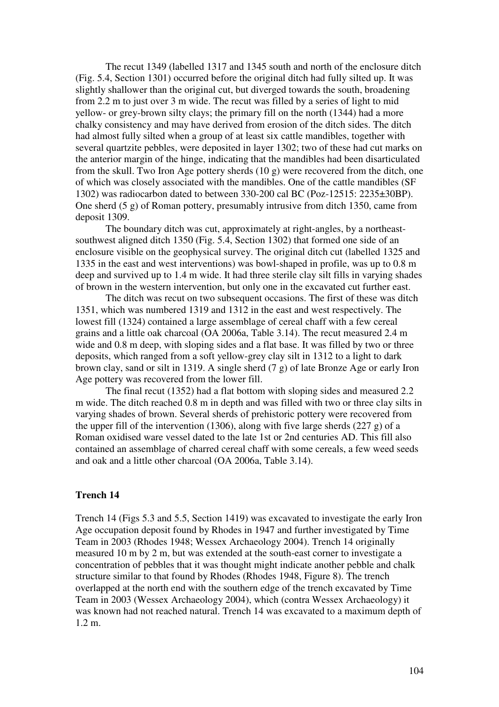The recut 1349 (labelled 1317 and 1345 south and north of the enclosure ditch (Fig. 5.4, Section 1301) occurred before the original ditch had fully silted up. It was slightly shallower than the original cut, but diverged towards the south, broadening from 2.2 m to just over 3 m wide. The recut was filled by a series of light to mid yellow- or grey-brown silty clays; the primary fill on the north (1344) had a more chalky consistency and may have derived from erosion of the ditch sides. The ditch had almost fully silted when a group of at least six cattle mandibles, together with several quartzite pebbles, were deposited in layer 1302; two of these had cut marks on the anterior margin of the hinge, indicating that the mandibles had been disarticulated from the skull. Two Iron Age pottery sherds (10 g) were recovered from the ditch, one of which was closely associated with the mandibles. One of the cattle mandibles (SF 1302) was radiocarbon dated to between 330-200 cal BC (Poz-12515: 2235±30BP). One sherd (5 g) of Roman pottery, presumably intrusive from ditch 1350, came from deposit 1309.

The boundary ditch was cut, approximately at right-angles, by a northeastsouthwest aligned ditch 1350 (Fig. 5.4, Section 1302) that formed one side of an enclosure visible on the geophysical survey. The original ditch cut (labelled 1325 and 1335 in the east and west interventions) was bowl-shaped in profile, was up to 0.8 m deep and survived up to 1.4 m wide. It had three sterile clay silt fills in varying shades of brown in the western intervention, but only one in the excavated cut further east.

The ditch was recut on two subsequent occasions. The first of these was ditch 1351, which was numbered 1319 and 1312 in the east and west respectively. The lowest fill (1324) contained a large assemblage of cereal chaff with a few cereal grains and a little oak charcoal (OA 2006a, Table 3.14). The recut measured 2.4 m wide and 0.8 m deep, with sloping sides and a flat base. It was filled by two or three deposits, which ranged from a soft yellow-grey clay silt in 1312 to a light to dark brown clay, sand or silt in 1319. A single sherd (7 g) of late Bronze Age or early Iron Age pottery was recovered from the lower fill.

The final recut (1352) had a flat bottom with sloping sides and measured 2.2 m wide. The ditch reached 0.8 m in depth and was filled with two or three clay silts in varying shades of brown. Several sherds of prehistoric pottery were recovered from the upper fill of the intervention (1306), along with five large sherds (227 g) of a Roman oxidised ware vessel dated to the late 1st or 2nd centuries AD. This fill also contained an assemblage of charred cereal chaff with some cereals, a few weed seeds and oak and a little other charcoal (OA 2006a, Table 3.14).

# **Trench 14**

Trench 14 (Figs 5.3 and 5.5, Section 1419) was excavated to investigate the early Iron Age occupation deposit found by Rhodes in 1947 and further investigated by Time Team in 2003 (Rhodes 1948; Wessex Archaeology 2004). Trench 14 originally measured 10 m by 2 m, but was extended at the south-east corner to investigate a concentration of pebbles that it was thought might indicate another pebble and chalk structure similar to that found by Rhodes (Rhodes 1948, Figure 8). The trench overlapped at the north end with the southern edge of the trench excavated by Time Team in 2003 (Wessex Archaeology 2004), which (contra Wessex Archaeology) it was known had not reached natural. Trench 14 was excavated to a maximum depth of 1.2 m.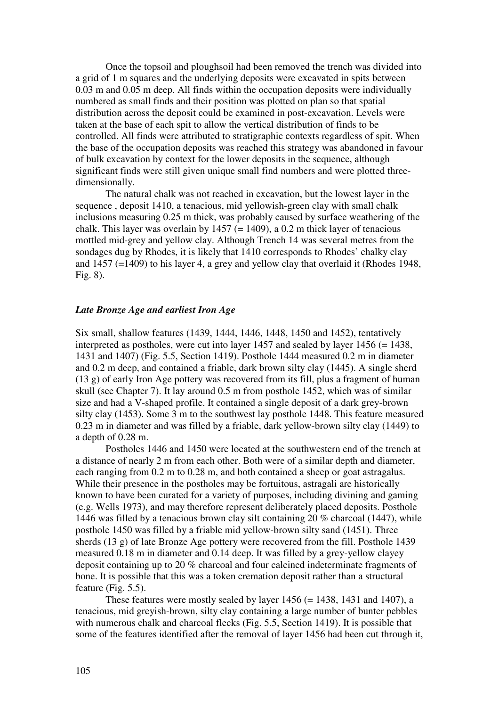Once the topsoil and ploughsoil had been removed the trench was divided into a grid of 1 m squares and the underlying deposits were excavated in spits between 0.03 m and 0.05 m deep. All finds within the occupation deposits were individually numbered as small finds and their position was plotted on plan so that spatial distribution across the deposit could be examined in post-excavation. Levels were taken at the base of each spit to allow the vertical distribution of finds to be controlled. All finds were attributed to stratigraphic contexts regardless of spit. When the base of the occupation deposits was reached this strategy was abandoned in favour of bulk excavation by context for the lower deposits in the sequence, although significant finds were still given unique small find numbers and were plotted threedimensionally.

The natural chalk was not reached in excavation, but the lowest layer in the sequence , deposit 1410, a tenacious, mid yellowish-green clay with small chalk inclusions measuring 0.25 m thick, was probably caused by surface weathering of the chalk. This layer was overlain by  $1457$  (= 1409), a 0.2 m thick layer of tenacious mottled mid-grey and yellow clay. Although Trench 14 was several metres from the sondages dug by Rhodes, it is likely that 1410 corresponds to Rhodes' chalky clay and 1457 (=1409) to his layer 4, a grey and yellow clay that overlaid it (Rhodes 1948, Fig. 8).

# *Late Bronze Age and earliest Iron Age*

Six small, shallow features (1439, 1444, 1446, 1448, 1450 and 1452), tentatively interpreted as postholes, were cut into layer  $1457$  and sealed by layer  $1456 (= 1438,$ 1431 and 1407) (Fig. 5.5, Section 1419). Posthole 1444 measured 0.2 m in diameter and 0.2 m deep, and contained a friable, dark brown silty clay (1445). A single sherd (13 g) of early Iron Age pottery was recovered from its fill, plus a fragment of human skull (see Chapter 7). It lay around 0.5 m from posthole 1452, which was of similar size and had a V-shaped profile. It contained a single deposit of a dark grey-brown silty clay (1453). Some 3 m to the southwest lay posthole 1448. This feature measured 0.23 m in diameter and was filled by a friable, dark yellow-brown silty clay (1449) to a depth of 0.28 m.

Postholes 1446 and 1450 were located at the southwestern end of the trench at a distance of nearly 2 m from each other. Both were of a similar depth and diameter, each ranging from 0.2 m to 0.28 m, and both contained a sheep or goat astragalus. While their presence in the postholes may be fortuitous, astragali are historically known to have been curated for a variety of purposes, including divining and gaming (e.g. Wells 1973), and may therefore represent deliberately placed deposits. Posthole 1446 was filled by a tenacious brown clay silt containing 20 % charcoal (1447), while posthole 1450 was filled by a friable mid yellow-brown silty sand (1451). Three sherds (13 g) of late Bronze Age pottery were recovered from the fill. Posthole 1439 measured 0.18 m in diameter and 0.14 deep. It was filled by a grey-yellow clayey deposit containing up to 20 % charcoal and four calcined indeterminate fragments of bone. It is possible that this was a token cremation deposit rather than a structural feature (Fig. 5.5).

These features were mostly sealed by layer  $1456 (= 1438, 1431, 1407)$ , a tenacious, mid greyish-brown, silty clay containing a large number of bunter pebbles with numerous chalk and charcoal flecks (Fig. 5.5, Section 1419). It is possible that some of the features identified after the removal of layer 1456 had been cut through it,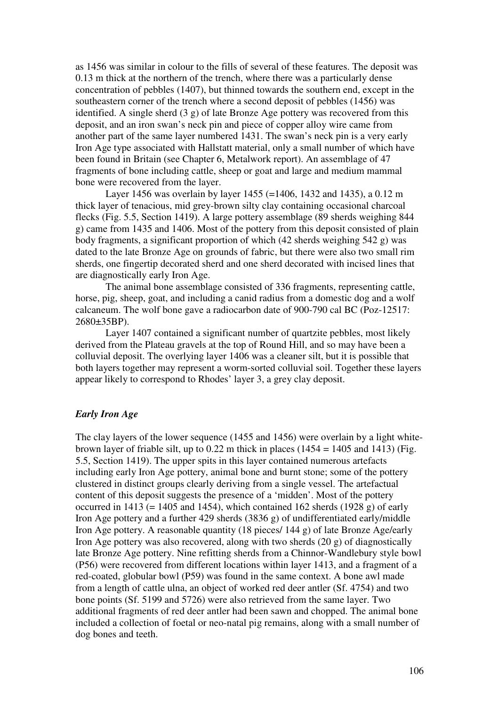as 1456 was similar in colour to the fills of several of these features. The deposit was 0.13 m thick at the northern of the trench, where there was a particularly dense concentration of pebbles (1407), but thinned towards the southern end, except in the southeastern corner of the trench where a second deposit of pebbles (1456) was identified. A single sherd (3 g) of late Bronze Age pottery was recovered from this deposit, and an iron swan's neck pin and piece of copper alloy wire came from another part of the same layer numbered 1431. The swan's neck pin is a very early Iron Age type associated with Hallstatt material, only a small number of which have been found in Britain (see Chapter 6, Metalwork report). An assemblage of 47 fragments of bone including cattle, sheep or goat and large and medium mammal bone were recovered from the layer.

Layer 1456 was overlain by layer 1455 (=1406, 1432 and 1435), a 0.12 m thick layer of tenacious, mid grey-brown silty clay containing occasional charcoal flecks (Fig. 5.5, Section 1419). A large pottery assemblage (89 sherds weighing 844 g) came from 1435 and 1406. Most of the pottery from this deposit consisted of plain body fragments, a significant proportion of which (42 sherds weighing 542 g) was dated to the late Bronze Age on grounds of fabric, but there were also two small rim sherds, one fingertip decorated sherd and one sherd decorated with incised lines that are diagnostically early Iron Age.

The animal bone assemblage consisted of 336 fragments, representing cattle, horse, pig, sheep, goat, and including a canid radius from a domestic dog and a wolf calcaneum. The wolf bone gave a radiocarbon date of 900-790 cal BC (Poz-12517: 2680±35BP).

 Layer 1407 contained a significant number of quartzite pebbles, most likely derived from the Plateau gravels at the top of Round Hill, and so may have been a colluvial deposit. The overlying layer 1406 was a cleaner silt, but it is possible that both layers together may represent a worm-sorted colluvial soil. Together these layers appear likely to correspond to Rhodes' layer 3, a grey clay deposit.

# *Early Iron Age*

The clay layers of the lower sequence (1455 and 1456) were overlain by a light whitebrown layer of friable silt, up to 0.22 m thick in places  $(1454 = 1405$  and 1413) (Fig. 5.5, Section 1419). The upper spits in this layer contained numerous artefacts including early Iron Age pottery, animal bone and burnt stone; some of the pottery clustered in distinct groups clearly deriving from a single vessel. The artefactual content of this deposit suggests the presence of a 'midden'. Most of the pottery occurred in 1413 (= 1405 and 1454), which contained 162 sherds (1928 g) of early Iron Age pottery and a further 429 sherds (3836 g) of undifferentiated early/middle Iron Age pottery. A reasonable quantity (18 pieces/ 144 g) of late Bronze Age/early Iron Age pottery was also recovered, along with two sherds  $(20 \text{ g})$  of diagnostically late Bronze Age pottery. Nine refitting sherds from a Chinnor-Wandlebury style bowl (P56) were recovered from different locations within layer 1413, and a fragment of a red-coated, globular bowl (P59) was found in the same context. A bone awl made from a length of cattle ulna, an object of worked red deer antler (Sf. 4754) and two bone points (Sf. 5199 and 5726) were also retrieved from the same layer. Two additional fragments of red deer antler had been sawn and chopped. The animal bone included a collection of foetal or neo-natal pig remains, along with a small number of dog bones and teeth.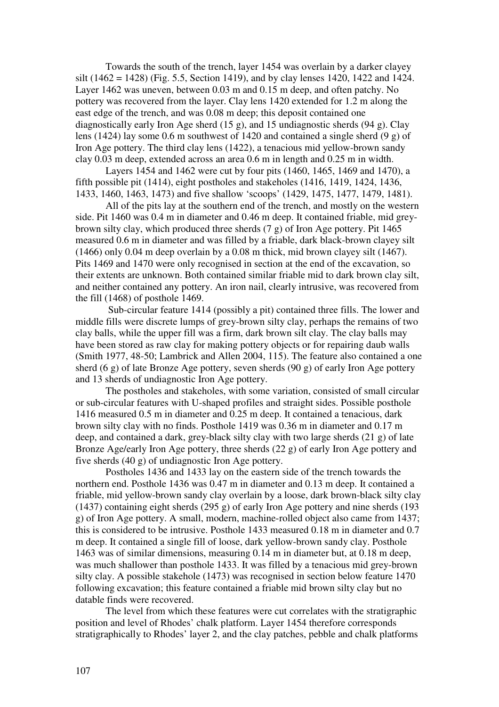Towards the south of the trench, layer 1454 was overlain by a darker clayey silt (1462 = 1428) (Fig. 5.5, Section 1419), and by clay lenses 1420, 1422 and 1424. Layer 1462 was uneven, between 0.03 m and 0.15 m deep, and often patchy. No pottery was recovered from the layer. Clay lens 1420 extended for 1.2 m along the east edge of the trench, and was 0.08 m deep; this deposit contained one diagnostically early Iron Age sherd (15 g), and 15 undiagnostic sherds (94 g). Clay lens (1424) lay some 0.6 m southwest of 1420 and contained a single sherd (9 g) of Iron Age pottery. The third clay lens (1422), a tenacious mid yellow-brown sandy clay 0.03 m deep, extended across an area 0.6 m in length and 0.25 m in width.

Layers 1454 and 1462 were cut by four pits (1460, 1465, 1469 and 1470), a fifth possible pit (1414), eight postholes and stakeholes (1416, 1419, 1424, 1436, 1433, 1460, 1463, 1473) and five shallow 'scoops' (1429, 1475, 1477, 1479, 1481).

All of the pits lay at the southern end of the trench, and mostly on the western side. Pit 1460 was 0.4 m in diameter and 0.46 m deep. It contained friable, mid greybrown silty clay, which produced three sherds (7 g) of Iron Age pottery. Pit 1465 measured 0.6 m in diameter and was filled by a friable, dark black-brown clayey silt (1466) only 0.04 m deep overlain by a 0.08 m thick, mid brown clayey silt (1467). Pits 1469 and 1470 were only recognised in section at the end of the excavation, so their extents are unknown. Both contained similar friable mid to dark brown clay silt, and neither contained any pottery. An iron nail, clearly intrusive, was recovered from the fill (1468) of posthole 1469.

 Sub-circular feature 1414 (possibly a pit) contained three fills. The lower and middle fills were discrete lumps of grey-brown silty clay, perhaps the remains of two clay balls, while the upper fill was a firm, dark brown silt clay. The clay balls may have been stored as raw clay for making pottery objects or for repairing daub walls (Smith 1977, 48-50; Lambrick and Allen 2004, 115). The feature also contained a one sherd (6 g) of late Bronze Age pottery, seven sherds (90 g) of early Iron Age pottery and 13 sherds of undiagnostic Iron Age pottery.

The postholes and stakeholes, with some variation, consisted of small circular or sub-circular features with U-shaped profiles and straight sides. Possible posthole 1416 measured 0.5 m in diameter and 0.25 m deep. It contained a tenacious, dark brown silty clay with no finds. Posthole 1419 was 0.36 m in diameter and 0.17 m deep, and contained a dark, grey-black silty clay with two large sherds (21 g) of late Bronze Age/early Iron Age pottery, three sherds (22 g) of early Iron Age pottery and five sherds (40 g) of undiagnostic Iron Age pottery.

Postholes 1436 and 1433 lay on the eastern side of the trench towards the northern end. Posthole 1436 was 0.47 m in diameter and 0.13 m deep. It contained a friable, mid yellow-brown sandy clay overlain by a loose, dark brown-black silty clay (1437) containing eight sherds (295 g) of early Iron Age pottery and nine sherds (193 g) of Iron Age pottery. A small, modern, machine-rolled object also came from 1437; this is considered to be intrusive. Posthole 1433 measured 0.18 m in diameter and 0.7 m deep. It contained a single fill of loose, dark yellow-brown sandy clay. Posthole 1463 was of similar dimensions, measuring 0.14 m in diameter but, at 0.18 m deep, was much shallower than posthole 1433. It was filled by a tenacious mid grey-brown silty clay. A possible stakehole (1473) was recognised in section below feature 1470 following excavation; this feature contained a friable mid brown silty clay but no datable finds were recovered.

The level from which these features were cut correlates with the stratigraphic position and level of Rhodes' chalk platform. Layer 1454 therefore corresponds stratigraphically to Rhodes' layer 2, and the clay patches, pebble and chalk platforms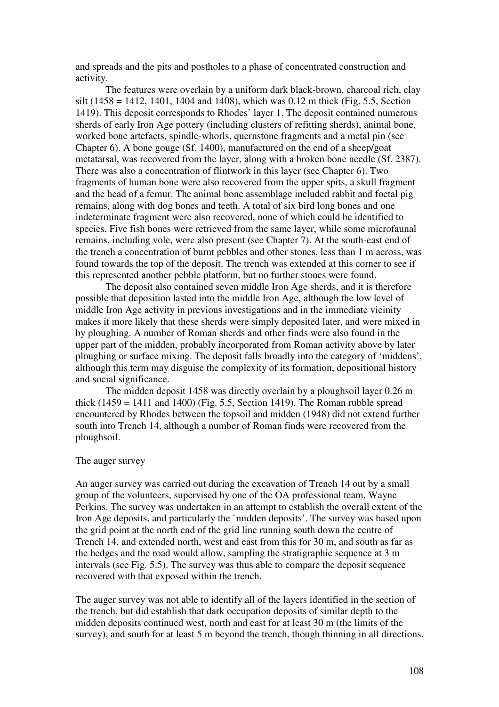and spreads and the pits and postholes to a phase of concentrated construction and activity.

The features were overlain by a uniform dark black-brown, charcoal rich, clay silt (1458 = 1412, 1401, 1404 and 1408), which was 0.12 m thick (Fig. 5.5, Section 1419). This deposit corresponds to Rhodes' layer 1. The deposit contained numerous sherds of early Iron Age pottery (including clusters of refitting sherds), animal bone, worked bone artefacts, spindle-whorls, quernstone fragments and a metal pin (see Chapter 6). A bone gouge (Sf. 1400), manufactured on the end of a sheep/goat metatarsal, was recovered from the layer, along with a broken bone needle (Sf. 2387). There was also a concentration of flintwork in this layer (see Chapter 6). Two fragments of human bone were also recovered from the upper spits, a skull fragment and the head of a femur. The animal bone assemblage included rabbit and foetal pig remains, along with dog bones and teeth. A total of six bird long bones and one indeterminate fragment were also recovered, none of which could be identified to species. Five fish bones were retrieved from the same layer, while some microfaunal remains, including vole, were also present (see Chapter 7). At the south-east end of the trench a concentration of burnt pebbles and other stones, less than 1 m across, was found towards the top of the deposit. The trench was extended at this corner to see if this represented another pebble platform, but no further stones were found.

The deposit also contained seven middle Iron Age sherds, and it is therefore possible that deposition lasted into the middle Iron Age, although the low level of middle Iron Age activity in previous investigations and in the immediate vicinity makes it more likely that these sherds were simply deposited later, and were mixed in by ploughing. A number of Roman sherds and other finds were also found in the upper part of the midden, probably incorporated from Roman activity above by later ploughing or surface mixing. The deposit falls broadly into the category of 'middens', although this term may disguise the complexity of its formation, depositional history and social significance.

The midden deposit 1458 was directly overlain by a ploughsoil layer 0.26 m thick  $(1459 = 1411$  and  $1400$ ) (Fig. 5.5, Section 1419). The Roman rubble spread encountered by Rhodes between the topsoil and midden (1948) did not extend further south into Trench 14, although a number of Roman finds were recovered from the ploughsoil.

#### The auger survey

An auger survey was carried out during the excavation of Trench 14 out by a small group of the volunteers, supervised by one of the OA professional team, Wayne Perkins. The survey was undertaken in an attempt to establish the overall extent of the Iron Age deposits, and particularly the `midden deposits'. The survey was based upon the grid point at the north end of the grid line running south down the centre of Trench 14, and extended north, west and east from this for 30 m, and south as far as the hedges and the road would allow, sampling the stratigraphic sequence at 3 m intervals (see Fig. 5.5). The survey was thus able to compare the deposit sequence recovered with that exposed within the trench.

The auger survey was not able to identify all of the layers identified in the section of the trench, but did establish that dark occupation deposits of similar depth to the midden deposits continued west, north and east for at least 30 m (the limits of the survey), and south for at least 5 m beyond the trench, though thinning in all directions.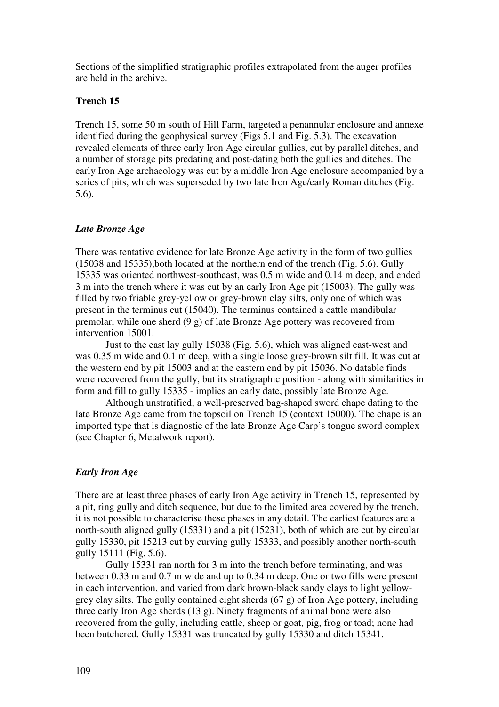Sections of the simplified stratigraphic profiles extrapolated from the auger profiles are held in the archive.

# **Trench 15**

Trench 15, some 50 m south of Hill Farm, targeted a penannular enclosure and annexe identified during the geophysical survey (Figs 5.1 and Fig. 5.3). The excavation revealed elements of three early Iron Age circular gullies, cut by parallel ditches, and a number of storage pits predating and post-dating both the gullies and ditches. The early Iron Age archaeology was cut by a middle Iron Age enclosure accompanied by a series of pits, which was superseded by two late Iron Age/early Roman ditches (Fig. 5.6).

## *Late Bronze Age*

There was tentative evidence for late Bronze Age activity in the form of two gullies (15038 and 15335),both located at the northern end of the trench (Fig. 5.6). Gully 15335 was oriented northwest-southeast, was 0.5 m wide and 0.14 m deep, and ended 3 m into the trench where it was cut by an early Iron Age pit (15003). The gully was filled by two friable grey-yellow or grey-brown clay silts, only one of which was present in the terminus cut (15040). The terminus contained a cattle mandibular premolar, while one sherd (9 g) of late Bronze Age pottery was recovered from intervention 15001.

Just to the east lay gully 15038 (Fig. 5.6), which was aligned east-west and was 0.35 m wide and 0.1 m deep, with a single loose grey-brown silt fill. It was cut at the western end by pit 15003 and at the eastern end by pit 15036. No datable finds were recovered from the gully, but its stratigraphic position - along with similarities in form and fill to gully 15335 - implies an early date, possibly late Bronze Age.

Although unstratified, a well-preserved bag-shaped sword chape dating to the late Bronze Age came from the topsoil on Trench 15 (context 15000). The chape is an imported type that is diagnostic of the late Bronze Age Carp's tongue sword complex (see Chapter 6, Metalwork report).

### *Early Iron Age*

There are at least three phases of early Iron Age activity in Trench 15, represented by a pit, ring gully and ditch sequence, but due to the limited area covered by the trench, it is not possible to characterise these phases in any detail. The earliest features are a north-south aligned gully (15331) and a pit (15231), both of which are cut by circular gully 15330, pit 15213 cut by curving gully 15333, and possibly another north-south gully 15111 (Fig. 5.6).

Gully 15331 ran north for 3 m into the trench before terminating, and was between 0.33 m and 0.7 m wide and up to 0.34 m deep. One or two fills were present in each intervention, and varied from dark brown-black sandy clays to light yellowgrey clay silts. The gully contained eight sherds (67 g) of Iron Age pottery, including three early Iron Age sherds (13 g). Ninety fragments of animal bone were also recovered from the gully, including cattle, sheep or goat, pig, frog or toad; none had been butchered. Gully 15331 was truncated by gully 15330 and ditch 15341.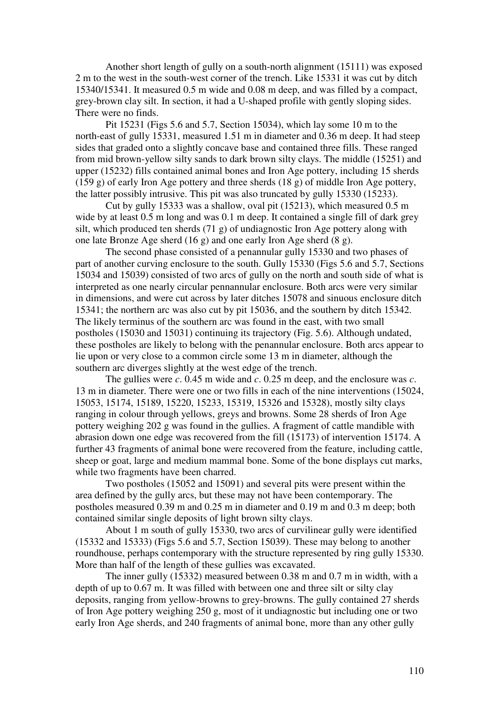Another short length of gully on a south-north alignment (15111) was exposed 2 m to the west in the south-west corner of the trench. Like 15331 it was cut by ditch 15340/15341. It measured 0.5 m wide and 0.08 m deep, and was filled by a compact, grey-brown clay silt. In section, it had a U-shaped profile with gently sloping sides. There were no finds.

Pit 15231 (Figs 5.6 and 5.7, Section 15034), which lay some 10 m to the north-east of gully 15331, measured 1.51 m in diameter and 0.36 m deep. It had steep sides that graded onto a slightly concave base and contained three fills. These ranged from mid brown-yellow silty sands to dark brown silty clays. The middle (15251) and upper (15232) fills contained animal bones and Iron Age pottery, including 15 sherds (159 g) of early Iron Age pottery and three sherds (18 g) of middle Iron Age pottery, the latter possibly intrusive. This pit was also truncated by gully 15330 (15233).

Cut by gully 15333 was a shallow, oval pit (15213), which measured 0.5 m wide by at least 0.5 m long and was 0.1 m deep. It contained a single fill of dark grey silt, which produced ten sherds (71 g) of undiagnostic Iron Age pottery along with one late Bronze Age sherd (16 g) and one early Iron Age sherd (8 g).

The second phase consisted of a penannular gully 15330 and two phases of part of another curving enclosure to the south. Gully 15330 (Figs 5.6 and 5.7, Sections 15034 and 15039) consisted of two arcs of gully on the north and south side of what is interpreted as one nearly circular pennannular enclosure. Both arcs were very similar in dimensions, and were cut across by later ditches 15078 and sinuous enclosure ditch 15341; the northern arc was also cut by pit 15036, and the southern by ditch 15342. The likely terminus of the southern arc was found in the east, with two small postholes (15030 and 15031) continuing its trajectory (Fig. 5.6). Although undated, these postholes are likely to belong with the penannular enclosure. Both arcs appear to lie upon or very close to a common circle some 13 m in diameter, although the southern arc diverges slightly at the west edge of the trench.

The gullies were *c*. 0.45 m wide and *c*. 0.25 m deep, and the enclosure was *c*. 13 m in diameter. There were one or two fills in each of the nine interventions (15024, 15053, 15174, 15189, 15220, 15233, 15319, 15326 and 15328), mostly silty clays ranging in colour through yellows, greys and browns. Some 28 sherds of Iron Age pottery weighing 202 g was found in the gullies. A fragment of cattle mandible with abrasion down one edge was recovered from the fill (15173) of intervention 15174. A further 43 fragments of animal bone were recovered from the feature, including cattle, sheep or goat, large and medium mammal bone. Some of the bone displays cut marks, while two fragments have been charred.

Two postholes (15052 and 15091) and several pits were present within the area defined by the gully arcs, but these may not have been contemporary. The postholes measured 0.39 m and 0.25 m in diameter and 0.19 m and 0.3 m deep; both contained similar single deposits of light brown silty clays.

About 1 m south of gully 15330, two arcs of curvilinear gully were identified (15332 and 15333) (Figs 5.6 and 5.7, Section 15039). These may belong to another roundhouse, perhaps contemporary with the structure represented by ring gully 15330. More than half of the length of these gullies was excavated.

The inner gully (15332) measured between 0.38 m and 0.7 m in width, with a depth of up to 0.67 m. It was filled with between one and three silt or silty clay deposits, ranging from yellow-browns to grey-browns. The gully contained 27 sherds of Iron Age pottery weighing 250 g, most of it undiagnostic but including one or two early Iron Age sherds, and 240 fragments of animal bone, more than any other gully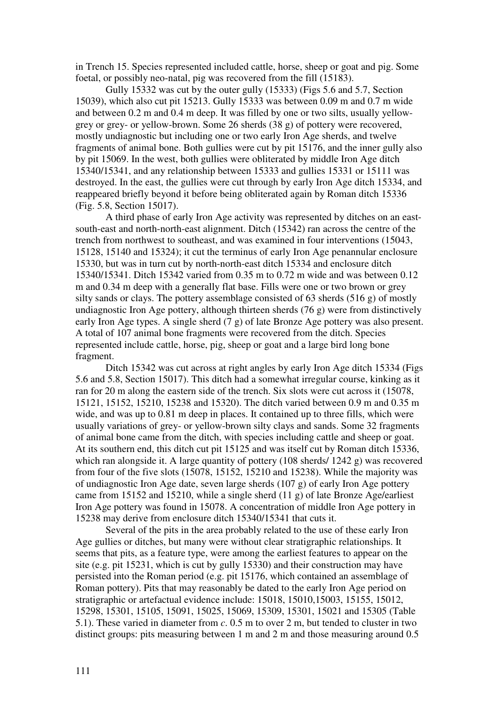in Trench 15. Species represented included cattle, horse, sheep or goat and pig. Some foetal, or possibly neo-natal, pig was recovered from the fill (15183).

Gully 15332 was cut by the outer gully (15333) (Figs 5.6 and 5.7, Section 15039), which also cut pit 15213. Gully 15333 was between 0.09 m and 0.7 m wide and between 0.2 m and 0.4 m deep. It was filled by one or two silts, usually yellowgrey or grey- or yellow-brown. Some 26 sherds (38 g) of pottery were recovered, mostly undiagnostic but including one or two early Iron Age sherds, and twelve fragments of animal bone. Both gullies were cut by pit 15176, and the inner gully also by pit 15069. In the west, both gullies were obliterated by middle Iron Age ditch 15340/15341, and any relationship between 15333 and gullies 15331 or 15111 was destroyed. In the east, the gullies were cut through by early Iron Age ditch 15334, and reappeared briefly beyond it before being obliterated again by Roman ditch 15336 (Fig. 5.8, Section 15017).

A third phase of early Iron Age activity was represented by ditches on an eastsouth-east and north-north-east alignment. Ditch (15342) ran across the centre of the trench from northwest to southeast, and was examined in four interventions (15043, 15128, 15140 and 15324); it cut the terminus of early Iron Age penannular enclosure 15330, but was in turn cut by north-north-east ditch 15334 and enclosure ditch 15340/15341. Ditch 15342 varied from 0.35 m to 0.72 m wide and was between 0.12 m and 0.34 m deep with a generally flat base. Fills were one or two brown or grey silty sands or clays. The pottery assemblage consisted of 63 sherds (516 g) of mostly undiagnostic Iron Age pottery, although thirteen sherds (76 g) were from distinctively early Iron Age types. A single sherd (7 g) of late Bronze Age pottery was also present. A total of 107 animal bone fragments were recovered from the ditch. Species represented include cattle, horse, pig, sheep or goat and a large bird long bone fragment.

Ditch 15342 was cut across at right angles by early Iron Age ditch 15334 (Figs 5.6 and 5.8, Section 15017). This ditch had a somewhat irregular course, kinking as it ran for 20 m along the eastern side of the trench. Six slots were cut across it (15078, 15121, 15152, 15210, 15238 and 15320). The ditch varied between 0.9 m and 0.35 m wide, and was up to 0.81 m deep in places. It contained up to three fills, which were usually variations of grey- or yellow-brown silty clays and sands. Some 32 fragments of animal bone came from the ditch, with species including cattle and sheep or goat. At its southern end, this ditch cut pit 15125 and was itself cut by Roman ditch 15336, which ran alongside it. A large quantity of pottery (108 sherds/ 1242 g) was recovered from four of the five slots (15078, 15152, 15210 and 15238). While the majority was of undiagnostic Iron Age date, seven large sherds (107 g) of early Iron Age pottery came from 15152 and 15210, while a single sherd (11 g) of late Bronze Age/earliest Iron Age pottery was found in 15078. A concentration of middle Iron Age pottery in 15238 may derive from enclosure ditch 15340/15341 that cuts it.

Several of the pits in the area probably related to the use of these early Iron Age gullies or ditches, but many were without clear stratigraphic relationships. It seems that pits, as a feature type, were among the earliest features to appear on the site (e.g. pit 15231, which is cut by gully 15330) and their construction may have persisted into the Roman period (e.g. pit 15176, which contained an assemblage of Roman pottery). Pits that may reasonably be dated to the early Iron Age period on stratigraphic or artefactual evidence include: 15018, 15010,15003, 15155, 15012, 15298, 15301, 15105, 15091, 15025, 15069, 15309, 15301, 15021 and 15305 (Table 5.1). These varied in diameter from *c*. 0.5 m to over 2 m, but tended to cluster in two distinct groups: pits measuring between 1 m and 2 m and those measuring around 0.5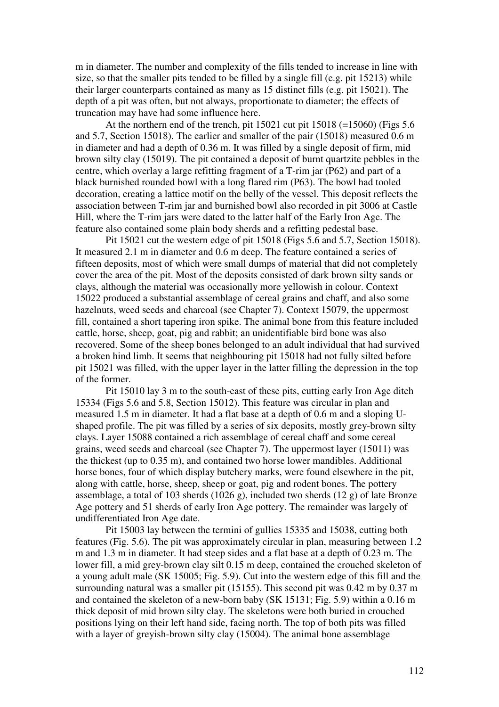m in diameter. The number and complexity of the fills tended to increase in line with size, so that the smaller pits tended to be filled by a single fill (e.g. pit 15213) while their larger counterparts contained as many as 15 distinct fills (e.g. pit 15021). The depth of a pit was often, but not always, proportionate to diameter; the effects of truncation may have had some influence here.

At the northern end of the trench, pit  $15021$  cut pit  $15018$  (=15060) (Figs 5.6 and 5.7, Section 15018). The earlier and smaller of the pair (15018) measured 0.6 m in diameter and had a depth of 0.36 m. It was filled by a single deposit of firm, mid brown silty clay (15019). The pit contained a deposit of burnt quartzite pebbles in the centre, which overlay a large refitting fragment of a T-rim jar (P62) and part of a black burnished rounded bowl with a long flared rim (P63). The bowl had tooled decoration, creating a lattice motif on the belly of the vessel. This deposit reflects the association between T-rim jar and burnished bowl also recorded in pit 3006 at Castle Hill, where the T-rim jars were dated to the latter half of the Early Iron Age. The feature also contained some plain body sherds and a refitting pedestal base.

Pit 15021 cut the western edge of pit 15018 (Figs 5.6 and 5.7, Section 15018). It measured 2.1 m in diameter and 0.6 m deep. The feature contained a series of fifteen deposits, most of which were small dumps of material that did not completely cover the area of the pit. Most of the deposits consisted of dark brown silty sands or clays, although the material was occasionally more yellowish in colour. Context 15022 produced a substantial assemblage of cereal grains and chaff, and also some hazelnuts, weed seeds and charcoal (see Chapter 7). Context 15079, the uppermost fill, contained a short tapering iron spike. The animal bone from this feature included cattle, horse, sheep, goat, pig and rabbit; an unidentifiable bird bone was also recovered. Some of the sheep bones belonged to an adult individual that had survived a broken hind limb. It seems that neighbouring pit 15018 had not fully silted before pit 15021 was filled, with the upper layer in the latter filling the depression in the top of the former.

Pit 15010 lay 3 m to the south-east of these pits, cutting early Iron Age ditch 15334 (Figs 5.6 and 5.8, Section 15012). This feature was circular in plan and measured 1.5 m in diameter. It had a flat base at a depth of 0.6 m and a sloping Ushaped profile. The pit was filled by a series of six deposits, mostly grey-brown silty clays. Layer 15088 contained a rich assemblage of cereal chaff and some cereal grains, weed seeds and charcoal (see Chapter 7). The uppermost layer (15011) was the thickest (up to 0.35 m), and contained two horse lower mandibles. Additional horse bones, four of which display butchery marks, were found elsewhere in the pit, along with cattle, horse, sheep, sheep or goat, pig and rodent bones. The pottery assemblage, a total of 103 sherds (1026 g), included two sherds (12 g) of late Bronze Age pottery and 51 sherds of early Iron Age pottery. The remainder was largely of undifferentiated Iron Age date.

Pit 15003 lay between the termini of gullies 15335 and 15038, cutting both features (Fig. 5.6). The pit was approximately circular in plan, measuring between 1.2 m and 1.3 m in diameter. It had steep sides and a flat base at a depth of 0.23 m. The lower fill, a mid grey-brown clay silt 0.15 m deep, contained the crouched skeleton of a young adult male (SK 15005; Fig. 5.9). Cut into the western edge of this fill and the surrounding natural was a smaller pit (15155). This second pit was 0.42 m by 0.37 m and contained the skeleton of a new-born baby (SK 15131; Fig. 5.9) within a 0.16 m thick deposit of mid brown silty clay. The skeletons were both buried in crouched positions lying on their left hand side, facing north. The top of both pits was filled with a layer of greyish-brown silty clay (15004). The animal bone assemblage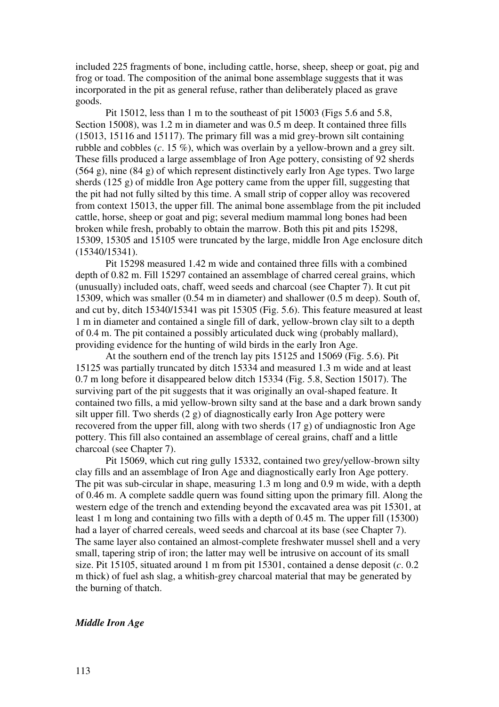included 225 fragments of bone, including cattle, horse, sheep, sheep or goat, pig and frog or toad. The composition of the animal bone assemblage suggests that it was incorporated in the pit as general refuse, rather than deliberately placed as grave goods.

Pit 15012, less than 1 m to the southeast of pit 15003 (Figs 5.6 and 5.8, Section 15008), was 1.2 m in diameter and was 0.5 m deep. It contained three fills (15013, 15116 and 15117). The primary fill was a mid grey-brown silt containing rubble and cobbles (*c*. 15 %), which was overlain by a yellow-brown and a grey silt. These fills produced a large assemblage of Iron Age pottery, consisting of 92 sherds (564 g), nine (84 g) of which represent distinctively early Iron Age types. Two large sherds (125 g) of middle Iron Age pottery came from the upper fill, suggesting that the pit had not fully silted by this time. A small strip of copper alloy was recovered from context 15013, the upper fill. The animal bone assemblage from the pit included cattle, horse, sheep or goat and pig; several medium mammal long bones had been broken while fresh, probably to obtain the marrow. Both this pit and pits 15298, 15309, 15305 and 15105 were truncated by the large, middle Iron Age enclosure ditch (15340/15341).

Pit 15298 measured 1.42 m wide and contained three fills with a combined depth of 0.82 m. Fill 15297 contained an assemblage of charred cereal grains, which (unusually) included oats, chaff, weed seeds and charcoal (see Chapter 7). It cut pit 15309, which was smaller (0.54 m in diameter) and shallower (0.5 m deep). South of, and cut by, ditch 15340/15341 was pit 15305 (Fig. 5.6). This feature measured at least 1 m in diameter and contained a single fill of dark, yellow-brown clay silt to a depth of 0.4 m. The pit contained a possibly articulated duck wing (probably mallard), providing evidence for the hunting of wild birds in the early Iron Age.

At the southern end of the trench lay pits 15125 and 15069 (Fig. 5.6). Pit 15125 was partially truncated by ditch 15334 and measured 1.3 m wide and at least 0.7 m long before it disappeared below ditch 15334 (Fig. 5.8, Section 15017). The surviving part of the pit suggests that it was originally an oval-shaped feature. It contained two fills, a mid yellow-brown silty sand at the base and a dark brown sandy silt upper fill. Two sherds (2 g) of diagnostically early Iron Age pottery were recovered from the upper fill, along with two sherds (17 g) of undiagnostic Iron Age pottery. This fill also contained an assemblage of cereal grains, chaff and a little charcoal (see Chapter 7).

Pit 15069, which cut ring gully 15332, contained two grey/yellow-brown silty clay fills and an assemblage of Iron Age and diagnostically early Iron Age pottery. The pit was sub-circular in shape, measuring 1.3 m long and 0.9 m wide, with a depth of 0.46 m. A complete saddle quern was found sitting upon the primary fill. Along the western edge of the trench and extending beyond the excavated area was pit 15301, at least 1 m long and containing two fills with a depth of 0.45 m. The upper fill (15300) had a layer of charred cereals, weed seeds and charcoal at its base (see Chapter 7). The same layer also contained an almost-complete freshwater mussel shell and a very small, tapering strip of iron; the latter may well be intrusive on account of its small size. Pit 15105, situated around 1 m from pit 15301, contained a dense deposit (*c*. 0.2 m thick) of fuel ash slag, a whitish-grey charcoal material that may be generated by the burning of thatch.

# *Middle Iron Age*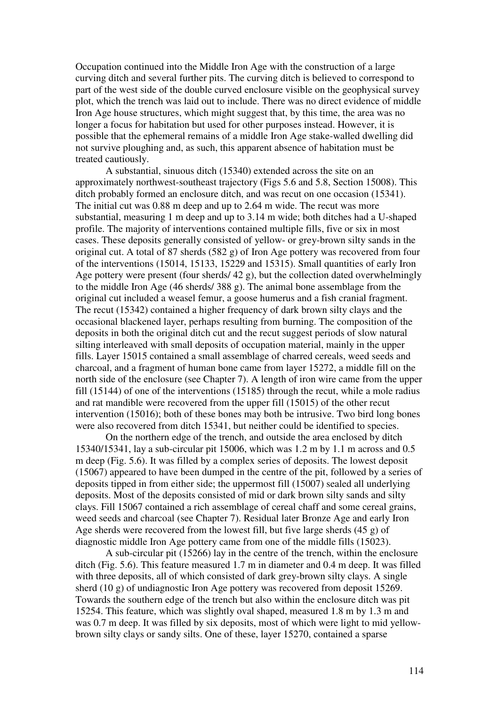Occupation continued into the Middle Iron Age with the construction of a large curving ditch and several further pits. The curving ditch is believed to correspond to part of the west side of the double curved enclosure visible on the geophysical survey plot, which the trench was laid out to include. There was no direct evidence of middle Iron Age house structures, which might suggest that, by this time, the area was no longer a focus for habitation but used for other purposes instead. However, it is possible that the ephemeral remains of a middle Iron Age stake-walled dwelling did not survive ploughing and, as such, this apparent absence of habitation must be treated cautiously.

 A substantial, sinuous ditch (15340) extended across the site on an approximately northwest-southeast trajectory (Figs 5.6 and 5.8, Section 15008). This ditch probably formed an enclosure ditch, and was recut on one occasion (15341). The initial cut was 0.88 m deep and up to 2.64 m wide. The recut was more substantial, measuring 1 m deep and up to 3.14 m wide; both ditches had a U-shaped profile. The majority of interventions contained multiple fills, five or six in most cases. These deposits generally consisted of yellow- or grey-brown silty sands in the original cut. A total of 87 sherds (582 g) of Iron Age pottery was recovered from four of the interventions (15014, 15133, 15229 and 15315). Small quantities of early Iron Age pottery were present (four sherds/ 42 g), but the collection dated overwhelmingly to the middle Iron Age (46 sherds/ 388 g). The animal bone assemblage from the original cut included a weasel femur, a goose humerus and a fish cranial fragment. The recut (15342) contained a higher frequency of dark brown silty clays and the occasional blackened layer, perhaps resulting from burning. The composition of the deposits in both the original ditch cut and the recut suggest periods of slow natural silting interleaved with small deposits of occupation material, mainly in the upper fills. Layer 15015 contained a small assemblage of charred cereals, weed seeds and charcoal, and a fragment of human bone came from layer 15272, a middle fill on the north side of the enclosure (see Chapter 7). A length of iron wire came from the upper fill (15144) of one of the interventions (15185) through the recut, while a mole radius and rat mandible were recovered from the upper fill (15015) of the other recut intervention (15016); both of these bones may both be intrusive. Two bird long bones were also recovered from ditch 15341, but neither could be identified to species.

On the northern edge of the trench, and outside the area enclosed by ditch 15340/15341, lay a sub-circular pit 15006, which was 1.2 m by 1.1 m across and 0.5 m deep (Fig. 5.6). It was filled by a complex series of deposits. The lowest deposit (15067) appeared to have been dumped in the centre of the pit, followed by a series of deposits tipped in from either side; the uppermost fill (15007) sealed all underlying deposits. Most of the deposits consisted of mid or dark brown silty sands and silty clays. Fill 15067 contained a rich assemblage of cereal chaff and some cereal grains, weed seeds and charcoal (see Chapter 7). Residual later Bronze Age and early Iron Age sherds were recovered from the lowest fill, but five large sherds (45 g) of diagnostic middle Iron Age pottery came from one of the middle fills (15023).

A sub-circular pit (15266) lay in the centre of the trench, within the enclosure ditch (Fig. 5.6). This feature measured 1.7 m in diameter and 0.4 m deep. It was filled with three deposits, all of which consisted of dark grey-brown silty clays. A single sherd (10 g) of undiagnostic Iron Age pottery was recovered from deposit 15269. Towards the southern edge of the trench but also within the enclosure ditch was pit 15254. This feature, which was slightly oval shaped, measured 1.8 m by 1.3 m and was 0.7 m deep. It was filled by six deposits, most of which were light to mid yellowbrown silty clays or sandy silts. One of these, layer 15270, contained a sparse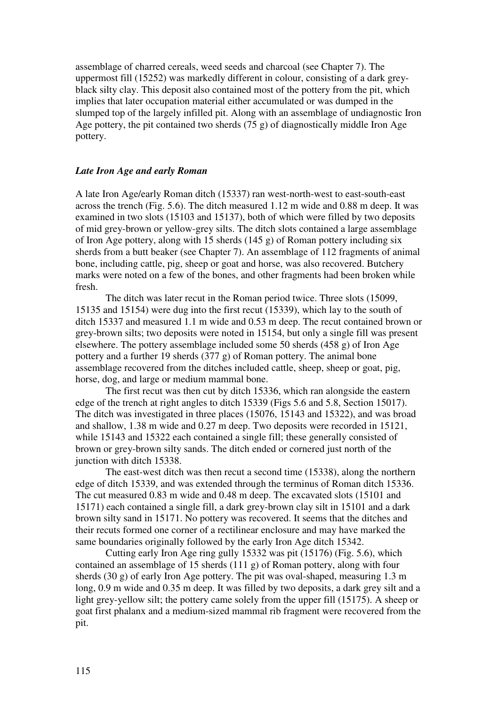assemblage of charred cereals, weed seeds and charcoal (see Chapter 7). The uppermost fill (15252) was markedly different in colour, consisting of a dark greyblack silty clay. This deposit also contained most of the pottery from the pit, which implies that later occupation material either accumulated or was dumped in the slumped top of the largely infilled pit. Along with an assemblage of undiagnostic Iron Age pottery, the pit contained two sherds  $(75 \text{ g})$  of diagnostically middle Iron Age pottery.

## *Late Iron Age and early Roman*

A late Iron Age/early Roman ditch (15337) ran west-north-west to east-south-east across the trench (Fig. 5.6). The ditch measured 1.12 m wide and 0.88 m deep. It was examined in two slots (15103 and 15137), both of which were filled by two deposits of mid grey-brown or yellow-grey silts. The ditch slots contained a large assemblage of Iron Age pottery, along with 15 sherds (145 g) of Roman pottery including six sherds from a butt beaker (see Chapter 7). An assemblage of 112 fragments of animal bone, including cattle, pig, sheep or goat and horse, was also recovered. Butchery marks were noted on a few of the bones, and other fragments had been broken while fresh.

The ditch was later recut in the Roman period twice. Three slots (15099, 15135 and 15154) were dug into the first recut (15339), which lay to the south of ditch 15337 and measured 1.1 m wide and 0.53 m deep. The recut contained brown or grey-brown silts; two deposits were noted in 15154, but only a single fill was present elsewhere. The pottery assemblage included some 50 sherds (458 g) of Iron Age pottery and a further 19 sherds (377 g) of Roman pottery. The animal bone assemblage recovered from the ditches included cattle, sheep, sheep or goat, pig, horse, dog, and large or medium mammal bone.

The first recut was then cut by ditch 15336, which ran alongside the eastern edge of the trench at right angles to ditch 15339 (Figs 5.6 and 5.8, Section 15017). The ditch was investigated in three places (15076, 15143 and 15322), and was broad and shallow, 1.38 m wide and 0.27 m deep. Two deposits were recorded in 15121, while 15143 and 15322 each contained a single fill; these generally consisted of brown or grey-brown silty sands. The ditch ended or cornered just north of the junction with ditch 15338.

The east-west ditch was then recut a second time (15338), along the northern edge of ditch 15339, and was extended through the terminus of Roman ditch 15336. The cut measured 0.83 m wide and 0.48 m deep. The excavated slots (15101 and 15171) each contained a single fill, a dark grey-brown clay silt in 15101 and a dark brown silty sand in 15171. No pottery was recovered. It seems that the ditches and their recuts formed one corner of a rectilinear enclosure and may have marked the same boundaries originally followed by the early Iron Age ditch 15342.

Cutting early Iron Age ring gully 15332 was pit (15176) (Fig. 5.6), which contained an assemblage of 15 sherds (111 g) of Roman pottery, along with four sherds (30 g) of early Iron Age pottery. The pit was oval-shaped, measuring 1.3 m long, 0.9 m wide and 0.35 m deep. It was filled by two deposits, a dark grey silt and a light grey-yellow silt; the pottery came solely from the upper fill (15175). A sheep or goat first phalanx and a medium-sized mammal rib fragment were recovered from the pit.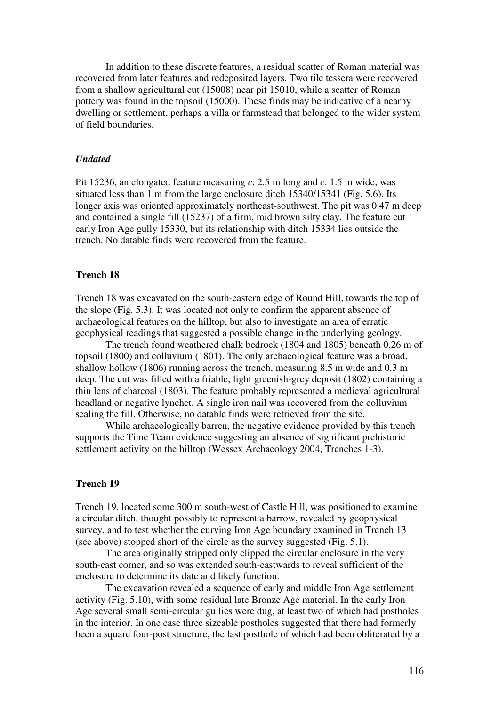In addition to these discrete features, a residual scatter of Roman material was recovered from later features and redeposited layers. Two tile tessera were recovered from a shallow agricultural cut (15008) near pit 15010, while a scatter of Roman pottery was found in the topsoil (15000). These finds may be indicative of a nearby dwelling or settlement, perhaps a villa or farmstead that belonged to the wider system of field boundaries.

#### *Undated*

Pit 15236, an elongated feature measuring *c*. 2.5 m long and *c*. 1.5 m wide, was situated less than 1 m from the large enclosure ditch 15340/15341 (Fig. 5.6). Its longer axis was oriented approximately northeast-southwest. The pit was 0.47 m deep and contained a single fill (15237) of a firm, mid brown silty clay. The feature cut early Iron Age gully 15330, but its relationship with ditch 15334 lies outside the trench. No datable finds were recovered from the feature.

# **Trench 18**

Trench 18 was excavated on the south-eastern edge of Round Hill, towards the top of the slope (Fig. 5.3). It was located not only to confirm the apparent absence of archaeological features on the hilltop, but also to investigate an area of erratic geophysical readings that suggested a possible change in the underlying geology.

The trench found weathered chalk bedrock (1804 and 1805) beneath 0.26 m of topsoil (1800) and colluvium (1801). The only archaeological feature was a broad, shallow hollow (1806) running across the trench, measuring 8.5 m wide and 0.3 m deep. The cut was filled with a friable, light greenish-grey deposit (1802) containing a thin lens of charcoal (1803). The feature probably represented a medieval agricultural headland or negative lynchet. A single iron nail was recovered from the colluvium sealing the fill. Otherwise, no datable finds were retrieved from the site.

While archaeologically barren, the negative evidence provided by this trench supports the Time Team evidence suggesting an absence of significant prehistoric settlement activity on the hilltop (Wessex Archaeology 2004, Trenches 1-3).

# **Trench 19**

Trench 19, located some 300 m south-west of Castle Hill, was positioned to examine a circular ditch, thought possibly to represent a barrow, revealed by geophysical survey, and to test whether the curving Iron Age boundary examined in Trench 13 (see above) stopped short of the circle as the survey suggested (Fig. 5.1).

The area originally stripped only clipped the circular enclosure in the very south-east corner, and so was extended south-eastwards to reveal sufficient of the enclosure to determine its date and likely function.

The excavation revealed a sequence of early and middle Iron Age settlement activity (Fig. 5.10), with some residual late Bronze Age material. In the early Iron Age several small semi-circular gullies were dug, at least two of which had postholes in the interior. In one case three sizeable postholes suggested that there had formerly been a square four-post structure, the last posthole of which had been obliterated by a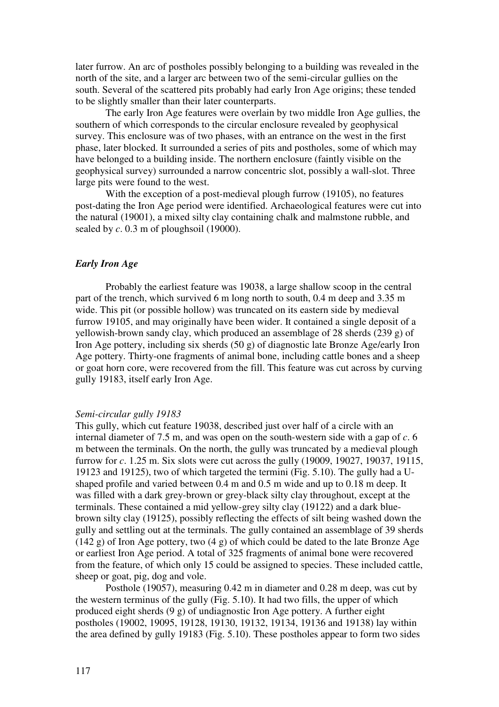later furrow. An arc of postholes possibly belonging to a building was revealed in the north of the site, and a larger arc between two of the semi-circular gullies on the south. Several of the scattered pits probably had early Iron Age origins; these tended to be slightly smaller than their later counterparts.

The early Iron Age features were overlain by two middle Iron Age gullies, the southern of which corresponds to the circular enclosure revealed by geophysical survey. This enclosure was of two phases, with an entrance on the west in the first phase, later blocked. It surrounded a series of pits and postholes, some of which may have belonged to a building inside. The northern enclosure (faintly visible on the geophysical survey) surrounded a narrow concentric slot, possibly a wall-slot. Three large pits were found to the west.

With the exception of a post-medieval plough furrow (19105), no features post-dating the Iron Age period were identified. Archaeological features were cut into the natural (19001), a mixed silty clay containing chalk and malmstone rubble, and sealed by *c*. 0.3 m of ploughsoil (19000).

### *Early Iron Age*

Probably the earliest feature was 19038, a large shallow scoop in the central part of the trench, which survived 6 m long north to south, 0.4 m deep and 3.35 m wide. This pit (or possible hollow) was truncated on its eastern side by medieval furrow 19105, and may originally have been wider. It contained a single deposit of a yellowish-brown sandy clay, which produced an assemblage of 28 sherds (239 g) of Iron Age pottery, including six sherds (50 g) of diagnostic late Bronze Age/early Iron Age pottery. Thirty-one fragments of animal bone, including cattle bones and a sheep or goat horn core, were recovered from the fill. This feature was cut across by curving gully 19183, itself early Iron Age.

#### *Semi-circular gully 19183*

This gully, which cut feature 19038, described just over half of a circle with an internal diameter of 7.5 m, and was open on the south-western side with a gap of *c*. 6 m between the terminals. On the north, the gully was truncated by a medieval plough furrow for *c*. 1.25 m. Six slots were cut across the gully (19009, 19027, 19037, 19115, 19123 and 19125), two of which targeted the termini (Fig. 5.10). The gully had a Ushaped profile and varied between 0.4 m and 0.5 m wide and up to 0.18 m deep. It was filled with a dark grey-brown or grey-black silty clay throughout, except at the terminals. These contained a mid yellow-grey silty clay (19122) and a dark bluebrown silty clay (19125), possibly reflecting the effects of silt being washed down the gully and settling out at the terminals. The gully contained an assemblage of 39 sherds  $(142 \text{ g})$  of Iron Age pottery, two  $(4 \text{ g})$  of which could be dated to the late Bronze Age or earliest Iron Age period. A total of 325 fragments of animal bone were recovered from the feature, of which only 15 could be assigned to species. These included cattle, sheep or goat, pig, dog and vole.

Posthole (19057), measuring 0.42 m in diameter and 0.28 m deep, was cut by the western terminus of the gully (Fig. 5.10). It had two fills, the upper of which produced eight sherds (9 g) of undiagnostic Iron Age pottery. A further eight postholes (19002, 19095, 19128, 19130, 19132, 19134, 19136 and 19138) lay within the area defined by gully 19183 (Fig. 5.10). These postholes appear to form two sides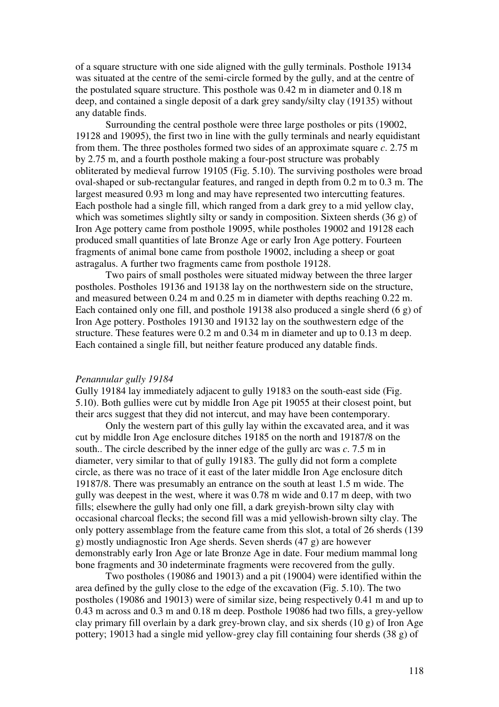of a square structure with one side aligned with the gully terminals. Posthole 19134 was situated at the centre of the semi-circle formed by the gully, and at the centre of the postulated square structure. This posthole was 0.42 m in diameter and 0.18 m deep, and contained a single deposit of a dark grey sandy/silty clay (19135) without any datable finds.

Surrounding the central posthole were three large postholes or pits (19002, 19128 and 19095), the first two in line with the gully terminals and nearly equidistant from them. The three postholes formed two sides of an approximate square *c*. 2.75 m by 2.75 m, and a fourth posthole making a four-post structure was probably obliterated by medieval furrow 19105 (Fig. 5.10). The surviving postholes were broad oval-shaped or sub-rectangular features, and ranged in depth from 0.2 m to 0.3 m. The largest measured 0.93 m long and may have represented two intercutting features. Each posthole had a single fill, which ranged from a dark grey to a mid yellow clay, which was sometimes slightly silty or sandy in composition. Sixteen sherds (36 g) of Iron Age pottery came from posthole 19095, while postholes 19002 and 19128 each produced small quantities of late Bronze Age or early Iron Age pottery. Fourteen fragments of animal bone came from posthole 19002, including a sheep or goat astragalus. A further two fragments came from posthole 19128.

Two pairs of small postholes were situated midway between the three larger postholes. Postholes 19136 and 19138 lay on the northwestern side on the structure, and measured between 0.24 m and 0.25 m in diameter with depths reaching 0.22 m. Each contained only one fill, and posthole 19138 also produced a single sherd (6 g) of Iron Age pottery. Postholes 19130 and 19132 lay on the southwestern edge of the structure. These features were 0.2 m and 0.34 m in diameter and up to 0.13 m deep. Each contained a single fill, but neither feature produced any datable finds.

#### *Penannular gully 19184*

Gully 19184 lay immediately adjacent to gully 19183 on the south-east side (Fig. 5.10). Both gullies were cut by middle Iron Age pit 19055 at their closest point, but their arcs suggest that they did not intercut, and may have been contemporary.

Only the western part of this gully lay within the excavated area, and it was cut by middle Iron Age enclosure ditches 19185 on the north and 19187/8 on the south.. The circle described by the inner edge of the gully arc was *c*. 7.5 m in diameter, very similar to that of gully 19183. The gully did not form a complete circle, as there was no trace of it east of the later middle Iron Age enclosure ditch 19187/8. There was presumably an entrance on the south at least 1.5 m wide. The gully was deepest in the west, where it was 0.78 m wide and 0.17 m deep, with two fills; elsewhere the gully had only one fill, a dark greyish-brown silty clay with occasional charcoal flecks; the second fill was a mid yellowish-brown silty clay. The only pottery assemblage from the feature came from this slot, a total of 26 sherds (139 g) mostly undiagnostic Iron Age sherds. Seven sherds (47 g) are however demonstrably early Iron Age or late Bronze Age in date. Four medium mammal long bone fragments and 30 indeterminate fragments were recovered from the gully.

Two postholes (19086 and 19013) and a pit (19004) were identified within the area defined by the gully close to the edge of the excavation (Fig. 5.10). The two postholes (19086 and 19013) were of similar size, being respectively 0.41 m and up to 0.43 m across and 0.3 m and 0.18 m deep. Posthole 19086 had two fills, a grey-yellow clay primary fill overlain by a dark grey-brown clay, and six sherds (10 g) of Iron Age pottery; 19013 had a single mid yellow-grey clay fill containing four sherds (38 g) of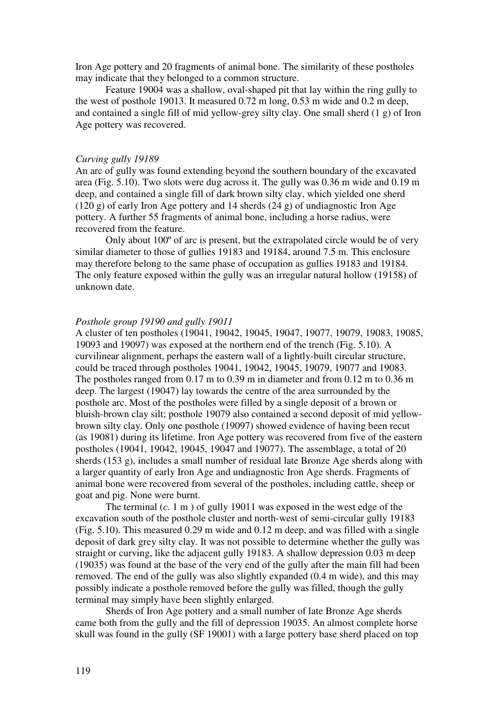Iron Age pottery and 20 fragments of animal bone. The similarity of these postholes may indicate that they belonged to a common structure.

Feature 19004 was a shallow, oval-shaped pit that lay within the ring gully to the west of posthole 19013. It measured 0.72 m long, 0.53 m wide and 0.2 m deep, and contained a single fill of mid yellow-grey silty clay. One small sherd (1 g) of Iron Age pottery was recovered.

#### *Curving gully 19189*

An arc of gully was found extending beyond the southern boundary of the excavated area (Fig. 5.10). Two slots were dug across it. The gully was 0.36 m wide and 0.19 m deep, and contained a single fill of dark brown silty clay, which yielded one sherd (120 g) of early Iron Age pottery and 14 sherds (24 g) of undiagnostic Iron Age pottery. A further 55 fragments of animal bone, including a horse radius, were recovered from the feature.

Only about 100º of arc is present, but the extrapolated circle would be of very similar diameter to those of gullies 19183 and 19184, around 7.5 m. This enclosure may therefore belong to the same phase of occupation as gullies 19183 and 19184. The only feature exposed within the gully was an irregular natural hollow (19158) of unknown date.

#### *Posthole group 19190 and gully 19011*

A cluster of ten postholes (19041, 19042, 19045, 19047, 19077, 19079, 19083, 19085, 19093 and 19097) was exposed at the northern end of the trench (Fig. 5.10). A curvilinear alignment, perhaps the eastern wall of a lightly-built circular structure, could be traced through postholes 19041, 19042, 19045, 19079, 19077 and 19083. The postholes ranged from 0.17 m to 0.39 m in diameter and from 0.12 m to 0.36 m deep. The largest (19047) lay towards the centre of the area surrounded by the posthole arc. Most of the postholes were filled by a single deposit of a brown or bluish-brown clay silt; posthole 19079 also contained a second deposit of mid yellowbrown silty clay. Only one posthole (19097) showed evidence of having been recut (as 19081) during its lifetime. Iron Age pottery was recovered from five of the eastern postholes (19041, 19042, 19045, 19047 and 19077). The assemblage, a total of 20 sherds (153 g), includes a small number of residual late Bronze Age sherds along with a larger quantity of early Iron Age and undiagnostic Iron Age sherds. Fragments of animal bone were recovered from several of the postholes, including cattle, sheep or goat and pig. None were burnt.

The terminal (*c*. 1 m ) of gully 19011 was exposed in the west edge of the excavation south of the posthole cluster and north-west of semi-circular gully 19183 (Fig. 5.10). This measured 0.29 m wide and 0.12 m deep, and was filled with a single deposit of dark grey silty clay. It was not possible to determine whether the gully was straight or curving, like the adjacent gully 19183. A shallow depression 0.03 m deep (19035) was found at the base of the very end of the gully after the main fill had been removed. The end of the gully was also slightly expanded (0.4 m wide), and this may possibly indicate a posthole removed before the gully was filled, though the gully terminal may simply have been slightly enlarged.

Sherds of Iron Age pottery and a small number of late Bronze Age sherds came both from the gully and the fill of depression 19035. An almost complete horse skull was found in the gully (SF 19001) with a large pottery base sherd placed on top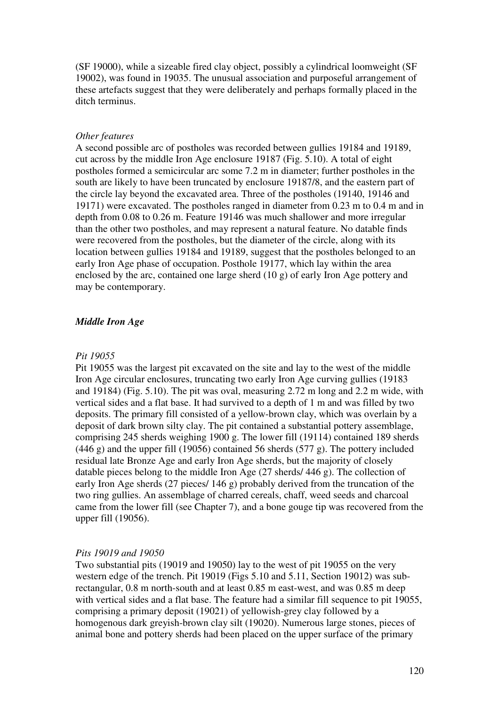(SF 19000), while a sizeable fired clay object, possibly a cylindrical loomweight (SF 19002), was found in 19035. The unusual association and purposeful arrangement of these artefacts suggest that they were deliberately and perhaps formally placed in the ditch terminus.

#### *Other features*

A second possible arc of postholes was recorded between gullies 19184 and 19189, cut across by the middle Iron Age enclosure 19187 (Fig. 5.10). A total of eight postholes formed a semicircular arc some 7.2 m in diameter; further postholes in the south are likely to have been truncated by enclosure 19187/8, and the eastern part of the circle lay beyond the excavated area. Three of the postholes (19140, 19146 and 19171) were excavated. The postholes ranged in diameter from 0.23 m to 0.4 m and in depth from 0.08 to 0.26 m. Feature 19146 was much shallower and more irregular than the other two postholes, and may represent a natural feature. No datable finds were recovered from the postholes, but the diameter of the circle, along with its location between gullies 19184 and 19189, suggest that the postholes belonged to an early Iron Age phase of occupation. Posthole 19177, which lay within the area enclosed by the arc, contained one large sherd (10 g) of early Iron Age pottery and may be contemporary.

## *Middle Iron Age*

#### *Pit 19055*

Pit 19055 was the largest pit excavated on the site and lay to the west of the middle Iron Age circular enclosures, truncating two early Iron Age curving gullies (19183 and 19184) (Fig. 5.10). The pit was oval, measuring 2.72 m long and 2.2 m wide, with vertical sides and a flat base. It had survived to a depth of 1 m and was filled by two deposits. The primary fill consisted of a yellow-brown clay, which was overlain by a deposit of dark brown silty clay. The pit contained a substantial pottery assemblage, comprising 245 sherds weighing 1900 g. The lower fill (19114) contained 189 sherds (446 g) and the upper fill (19056) contained 56 sherds (577 g). The pottery included residual late Bronze Age and early Iron Age sherds, but the majority of closely datable pieces belong to the middle Iron Age (27 sherds/ 446 g). The collection of early Iron Age sherds (27 pieces/ 146 g) probably derived from the truncation of the two ring gullies. An assemblage of charred cereals, chaff, weed seeds and charcoal came from the lower fill (see Chapter 7), and a bone gouge tip was recovered from the upper fill (19056).

## *Pits 19019 and 19050*

Two substantial pits (19019 and 19050) lay to the west of pit 19055 on the very western edge of the trench. Pit 19019 (Figs 5.10 and 5.11, Section 19012) was subrectangular, 0.8 m north-south and at least 0.85 m east-west, and was 0.85 m deep with vertical sides and a flat base. The feature had a similar fill sequence to pit 19055, comprising a primary deposit (19021) of yellowish-grey clay followed by a homogenous dark greyish-brown clay silt (19020). Numerous large stones, pieces of animal bone and pottery sherds had been placed on the upper surface of the primary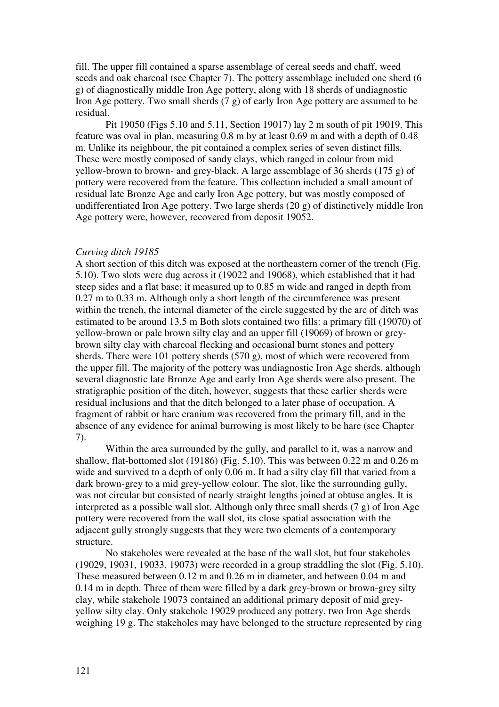fill. The upper fill contained a sparse assemblage of cereal seeds and chaff, weed seeds and oak charcoal (see Chapter 7). The pottery assemblage included one sherd (6 g) of diagnostically middle Iron Age pottery, along with 18 sherds of undiagnostic Iron Age pottery. Two small sherds (7 g) of early Iron Age pottery are assumed to be residual.

Pit 19050 (Figs 5.10 and 5.11, Section 19017) lay 2 m south of pit 19019. This feature was oval in plan, measuring 0.8 m by at least 0.69 m and with a depth of 0.48 m. Unlike its neighbour, the pit contained a complex series of seven distinct fills. These were mostly composed of sandy clays, which ranged in colour from mid yellow-brown to brown- and grey-black. A large assemblage of 36 sherds (175 g) of pottery were recovered from the feature. This collection included a small amount of residual late Bronze Age and early Iron Age pottery, but was mostly composed of undifferentiated Iron Age pottery. Two large sherds (20 g) of distinctively middle Iron Age pottery were, however, recovered from deposit 19052.

## *Curving ditch 19185*

A short section of this ditch was exposed at the northeastern corner of the trench (Fig. 5.10). Two slots were dug across it (19022 and 19068), which established that it had steep sides and a flat base; it measured up to 0.85 m wide and ranged in depth from 0.27 m to 0.33 m. Although only a short length of the circumference was present within the trench, the internal diameter of the circle suggested by the arc of ditch was estimated to be around 13.5 m Both slots contained two fills: a primary fill (19070) of yellow-brown or pale brown silty clay and an upper fill (19069) of brown or greybrown silty clay with charcoal flecking and occasional burnt stones and pottery sherds. There were 101 pottery sherds (570 g), most of which were recovered from the upper fill. The majority of the pottery was undiagnostic Iron Age sherds, although several diagnostic late Bronze Age and early Iron Age sherds were also present. The stratigraphic position of the ditch, however, suggests that these earlier sherds were residual inclusions and that the ditch belonged to a later phase of occupation. A fragment of rabbit or hare cranium was recovered from the primary fill, and in the absence of any evidence for animal burrowing is most likely to be hare (see Chapter 7).

Within the area surrounded by the gully, and parallel to it, was a narrow and shallow, flat-bottomed slot (19186) (Fig. 5.10). This was between 0.22 m and 0.26 m wide and survived to a depth of only 0.06 m. It had a silty clay fill that varied from a dark brown-grey to a mid grey-yellow colour. The slot, like the surrounding gully, was not circular but consisted of nearly straight lengths joined at obtuse angles. It is interpreted as a possible wall slot. Although only three small sherds (7 g) of Iron Age pottery were recovered from the wall slot, its close spatial association with the adjacent gully strongly suggests that they were two elements of a contemporary structure.

No stakeholes were revealed at the base of the wall slot, but four stakeholes (19029, 19031, 19033, 19073) were recorded in a group straddling the slot (Fig. 5.10). These measured between 0.12 m and 0.26 m in diameter, and between 0.04 m and 0.14 m in depth. Three of them were filled by a dark grey-brown or brown-grey silty clay, while stakehole 19073 contained an additional primary deposit of mid greyyellow silty clay. Only stakehole 19029 produced any pottery, two Iron Age sherds weighing 19 g. The stakeholes may have belonged to the structure represented by ring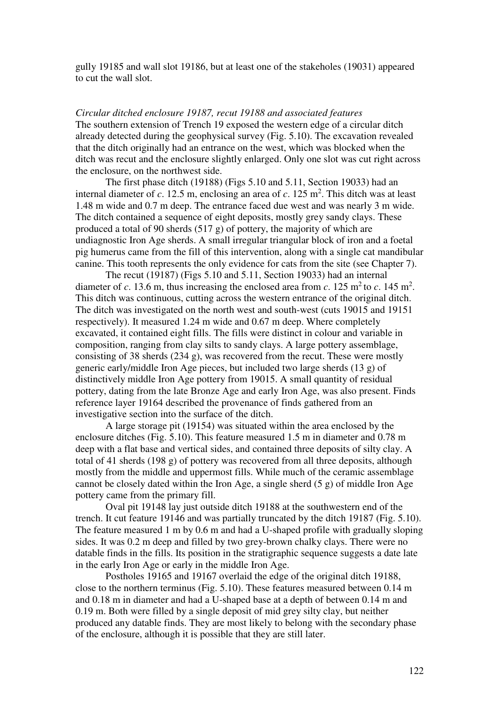gully 19185 and wall slot 19186, but at least one of the stakeholes (19031) appeared to cut the wall slot.

*Circular ditched enclosure 19187, recut 19188 and associated features*  The southern extension of Trench 19 exposed the western edge of a circular ditch already detected during the geophysical survey (Fig. 5.10). The excavation revealed that the ditch originally had an entrance on the west, which was blocked when the ditch was recut and the enclosure slightly enlarged. Only one slot was cut right across the enclosure, on the northwest side.

The first phase ditch (19188) (Figs 5.10 and 5.11, Section 19033) had an internal diameter of  $c$ . 12.5 m, enclosing an area of  $c$ . 125 m<sup>2</sup>. This ditch was at least 1.48 m wide and 0.7 m deep. The entrance faced due west and was nearly 3 m wide. The ditch contained a sequence of eight deposits, mostly grey sandy clays. These produced a total of 90 sherds (517 g) of pottery, the majority of which are undiagnostic Iron Age sherds. A small irregular triangular block of iron and a foetal pig humerus came from the fill of this intervention, along with a single cat mandibular canine. This tooth represents the only evidence for cats from the site (see Chapter 7).

The recut (19187) (Figs 5.10 and 5.11, Section 19033) had an internal diameter of *c*. 13.6 m, thus increasing the enclosed area from *c*. 125 m<sup>2</sup> to *c*. 145 m<sup>2</sup>. This ditch was continuous, cutting across the western entrance of the original ditch. The ditch was investigated on the north west and south-west (cuts 19015 and 19151 respectively). It measured 1.24 m wide and 0.67 m deep. Where completely excavated, it contained eight fills. The fills were distinct in colour and variable in composition, ranging from clay silts to sandy clays. A large pottery assemblage, consisting of 38 sherds (234 g), was recovered from the recut. These were mostly generic early/middle Iron Age pieces, but included two large sherds (13 g) of distinctively middle Iron Age pottery from 19015. A small quantity of residual pottery, dating from the late Bronze Age and early Iron Age, was also present. Finds reference layer 19164 described the provenance of finds gathered from an investigative section into the surface of the ditch.

A large storage pit (19154) was situated within the area enclosed by the enclosure ditches (Fig. 5.10). This feature measured 1.5 m in diameter and 0.78 m deep with a flat base and vertical sides, and contained three deposits of silty clay. A total of 41 sherds (198 g) of pottery was recovered from all three deposits, although mostly from the middle and uppermost fills. While much of the ceramic assemblage cannot be closely dated within the Iron Age, a single sherd (5 g) of middle Iron Age pottery came from the primary fill.

Oval pit 19148 lay just outside ditch 19188 at the southwestern end of the trench. It cut feature 19146 and was partially truncated by the ditch 19187 (Fig. 5.10). The feature measured 1 m by 0.6 m and had a U-shaped profile with gradually sloping sides. It was 0.2 m deep and filled by two grey-brown chalky clays. There were no datable finds in the fills. Its position in the stratigraphic sequence suggests a date late in the early Iron Age or early in the middle Iron Age.

Postholes 19165 and 19167 overlaid the edge of the original ditch 19188, close to the northern terminus (Fig. 5.10). These features measured between 0.14 m and 0.18 m in diameter and had a U-shaped base at a depth of between 0.14 m and 0.19 m. Both were filled by a single deposit of mid grey silty clay, but neither produced any datable finds. They are most likely to belong with the secondary phase of the enclosure, although it is possible that they are still later.